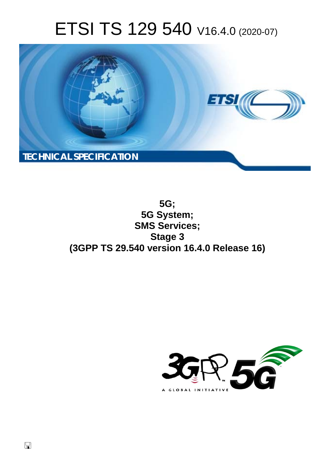# ETSI TS 129 540 V16.4.0 (2020-07)



**5G; 5G System; SMS Services; Stage 3 (3GPP TS 29.540 version 16.4.0 Release 16)** 

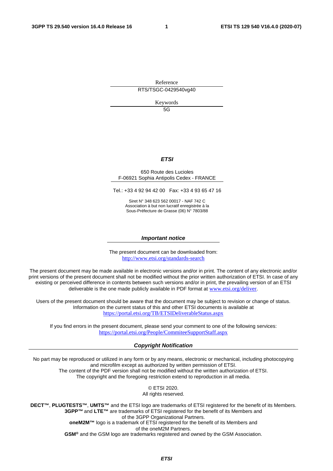Reference RTS/TSGC-0429540vg40

Keywords

 $5G$ 

#### *ETSI*

#### 650 Route des Lucioles F-06921 Sophia Antipolis Cedex - FRANCE

Tel.: +33 4 92 94 42 00 Fax: +33 4 93 65 47 16

Siret N° 348 623 562 00017 - NAF 742 C Association à but non lucratif enregistrée à la Sous-Préfecture de Grasse (06) N° 7803/88

#### *Important notice*

The present document can be downloaded from: <http://www.etsi.org/standards-search>

The present document may be made available in electronic versions and/or in print. The content of any electronic and/or print versions of the present document shall not be modified without the prior written authorization of ETSI. In case of any existing or perceived difference in contents between such versions and/or in print, the prevailing version of an ETSI deliverable is the one made publicly available in PDF format at [www.etsi.org/deliver](http://www.etsi.org/deliver).

Users of the present document should be aware that the document may be subject to revision or change of status. Information on the current status of this and other ETSI documents is available at <https://portal.etsi.org/TB/ETSIDeliverableStatus.aspx>

If you find errors in the present document, please send your comment to one of the following services: <https://portal.etsi.org/People/CommiteeSupportStaff.aspx>

#### *Copyright Notification*

No part may be reproduced or utilized in any form or by any means, electronic or mechanical, including photocopying and microfilm except as authorized by written permission of ETSI. The content of the PDF version shall not be modified without the written authorization of ETSI.

The copyright and the foregoing restriction extend to reproduction in all media.

© ETSI 2020. All rights reserved.

**DECT™**, **PLUGTESTS™**, **UMTS™** and the ETSI logo are trademarks of ETSI registered for the benefit of its Members. **3GPP™** and **LTE™** are trademarks of ETSI registered for the benefit of its Members and of the 3GPP Organizational Partners. **oneM2M™** logo is a trademark of ETSI registered for the benefit of its Members and of the oneM2M Partners.

**GSM®** and the GSM logo are trademarks registered and owned by the GSM Association.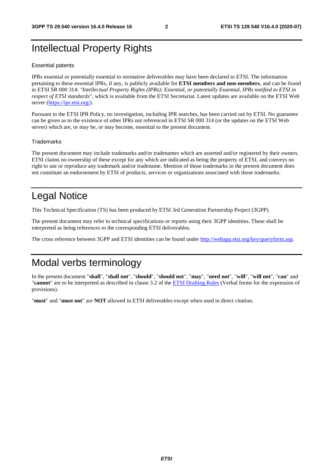# Intellectual Property Rights

#### Essential patents

IPRs essential or potentially essential to normative deliverables may have been declared to ETSI. The information pertaining to these essential IPRs, if any, is publicly available for **ETSI members and non-members**, and can be found in ETSI SR 000 314: *"Intellectual Property Rights (IPRs); Essential, or potentially Essential, IPRs notified to ETSI in respect of ETSI standards"*, which is available from the ETSI Secretariat. Latest updates are available on the ETSI Web server [\(https://ipr.etsi.org/](https://ipr.etsi.org/)).

Pursuant to the ETSI IPR Policy, no investigation, including IPR searches, has been carried out by ETSI. No guarantee can be given as to the existence of other IPRs not referenced in ETSI SR 000 314 (or the updates on the ETSI Web server) which are, or may be, or may become, essential to the present document.

#### **Trademarks**

The present document may include trademarks and/or tradenames which are asserted and/or registered by their owners. ETSI claims no ownership of these except for any which are indicated as being the property of ETSI, and conveys no right to use or reproduce any trademark and/or tradename. Mention of those trademarks in the present document does not constitute an endorsement by ETSI of products, services or organizations associated with those trademarks.

# Legal Notice

This Technical Specification (TS) has been produced by ETSI 3rd Generation Partnership Project (3GPP).

The present document may refer to technical specifications or reports using their 3GPP identities. These shall be interpreted as being references to the corresponding ETSI deliverables.

The cross reference between 3GPP and ETSI identities can be found under<http://webapp.etsi.org/key/queryform.asp>.

# Modal verbs terminology

In the present document "**shall**", "**shall not**", "**should**", "**should not**", "**may**", "**need not**", "**will**", "**will not**", "**can**" and "**cannot**" are to be interpreted as described in clause 3.2 of the [ETSI Drafting Rules](https://portal.etsi.org/Services/editHelp!/Howtostart/ETSIDraftingRules.aspx) (Verbal forms for the expression of provisions).

"**must**" and "**must not**" are **NOT** allowed in ETSI deliverables except when used in direct citation.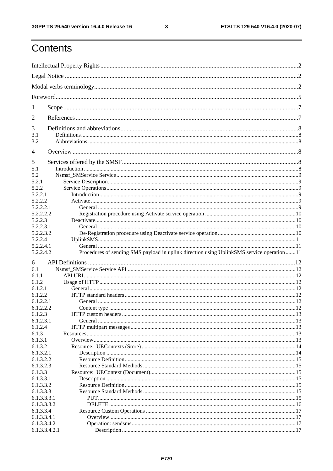$\mathbf{3}$ 

# Contents

| 1                            |                                                                                            |  |  |  |
|------------------------------|--------------------------------------------------------------------------------------------|--|--|--|
| 2                            |                                                                                            |  |  |  |
| 3                            |                                                                                            |  |  |  |
| 3.1                          |                                                                                            |  |  |  |
| 3.2                          |                                                                                            |  |  |  |
| 4                            |                                                                                            |  |  |  |
| 5<br>5.1                     |                                                                                            |  |  |  |
|                              |                                                                                            |  |  |  |
| 5.2                          |                                                                                            |  |  |  |
| 5.2.1                        |                                                                                            |  |  |  |
| 5.2.2                        |                                                                                            |  |  |  |
| 5.2.2.1                      |                                                                                            |  |  |  |
| 5.2.2.2                      |                                                                                            |  |  |  |
| 5.2.2.2.1                    |                                                                                            |  |  |  |
| 5.2.2.2.2                    |                                                                                            |  |  |  |
| 5.2.2.3                      |                                                                                            |  |  |  |
| 5.2.2.3.1                    |                                                                                            |  |  |  |
| 5.2.2.3.2                    |                                                                                            |  |  |  |
| 5.2.2.4                      |                                                                                            |  |  |  |
| 5.2.2.4.1                    |                                                                                            |  |  |  |
|                              |                                                                                            |  |  |  |
|                              |                                                                                            |  |  |  |
| 5.2.2.4.2                    | Procedures of sending SMS payload in uplink direction using UplinkSMS service operation 11 |  |  |  |
| 6                            |                                                                                            |  |  |  |
| 6.1                          |                                                                                            |  |  |  |
| 6.1.1                        |                                                                                            |  |  |  |
| 6.1.2                        |                                                                                            |  |  |  |
| 6.1.2.1                      |                                                                                            |  |  |  |
| 6.1.2.2                      |                                                                                            |  |  |  |
| 6.1.2.2.1                    |                                                                                            |  |  |  |
| 6.1.2.2.2                    |                                                                                            |  |  |  |
| 6.1.2.3                      |                                                                                            |  |  |  |
| 6.1.2.3.1                    |                                                                                            |  |  |  |
|                              |                                                                                            |  |  |  |
| 6.1.2.4                      |                                                                                            |  |  |  |
| 6.1.3                        |                                                                                            |  |  |  |
| 6.1.3.1                      |                                                                                            |  |  |  |
| 6.1.3.2                      |                                                                                            |  |  |  |
| 6.1.3.2.1                    |                                                                                            |  |  |  |
| 6.1.3.2.2                    |                                                                                            |  |  |  |
| 6.1.3.2.3                    |                                                                                            |  |  |  |
| 6.1.3.3                      |                                                                                            |  |  |  |
| 6.1.3.3.1                    |                                                                                            |  |  |  |
| 6.1.3.3.2                    |                                                                                            |  |  |  |
| 6.1.3.3.3                    |                                                                                            |  |  |  |
| 6.1.3.3.3.1                  |                                                                                            |  |  |  |
| 6.1.3.3.3.2                  |                                                                                            |  |  |  |
| 6.1.3.3.4                    |                                                                                            |  |  |  |
|                              |                                                                                            |  |  |  |
| 6.1.3.3.4.1                  |                                                                                            |  |  |  |
| 6.1.3.3.4.2<br>6.1.3.3.4.2.1 |                                                                                            |  |  |  |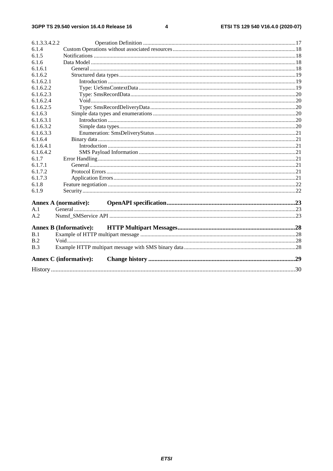#### $\overline{\mathbf{4}}$

| 6.1.3.3.4.2.2 |                               |  |  |
|---------------|-------------------------------|--|--|
| 6.1.4         |                               |  |  |
| 6.1.5         |                               |  |  |
| 6.1.6         |                               |  |  |
| 6.1.6.1       |                               |  |  |
| 6.1.6.2       |                               |  |  |
| 6.1.6.2.1     |                               |  |  |
| 6.1.6.2.2     |                               |  |  |
| 6.1.6.2.3     |                               |  |  |
| 6.1.6.2.4     |                               |  |  |
| 6.1.6.2.5     |                               |  |  |
| 6.1.6.3       |                               |  |  |
| 6.1.6.3.1     |                               |  |  |
| 6.1.6.3.2     |                               |  |  |
| 6.1.6.3.3     |                               |  |  |
| 6.1.6.4       |                               |  |  |
| 6.1.6.4.1     |                               |  |  |
| 6.1.6.4.2     |                               |  |  |
| 6.1.7         |                               |  |  |
| 6.1.7.1       |                               |  |  |
| 6.1.7.2       |                               |  |  |
| 6.1.7.3       |                               |  |  |
| 6.1.8         |                               |  |  |
| 6.1.9         |                               |  |  |
|               |                               |  |  |
| A.1           | <b>Annex A (normative):</b>   |  |  |
| A.2           |                               |  |  |
|               |                               |  |  |
|               | <b>Annex B (Informative):</b> |  |  |
| B.1           |                               |  |  |
| B.2           |                               |  |  |
| B.3           |                               |  |  |
|               |                               |  |  |
|               | <b>Annex C</b> (informative): |  |  |
|               |                               |  |  |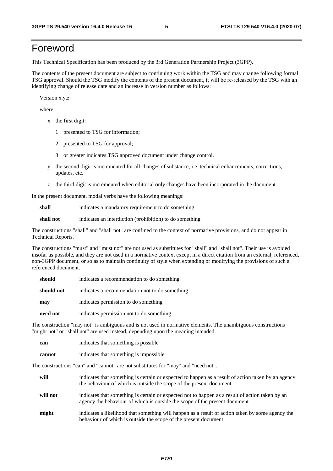# Foreword

This Technical Specification has been produced by the 3rd Generation Partnership Project (3GPP).

The contents of the present document are subject to continuing work within the TSG and may change following formal TSG approval. Should the TSG modify the contents of the present document, it will be re-released by the TSG with an identifying change of release date and an increase in version number as follows:

Version x.y.z

where:

- x the first digit:
	- 1 presented to TSG for information;
	- 2 presented to TSG for approval;
	- 3 or greater indicates TSG approved document under change control.
- y the second digit is incremented for all changes of substance, i.e. technical enhancements, corrections, updates, etc.
- z the third digit is incremented when editorial only changes have been incorporated in the document.

In the present document, modal verbs have the following meanings:

**shall** indicates a mandatory requirement to do something

**shall not** indicates an interdiction (prohibition) to do something

The constructions "shall" and "shall not" are confined to the context of normative provisions, and do not appear in Technical Reports.

The constructions "must" and "must not" are not used as substitutes for "shall" and "shall not". Their use is avoided insofar as possible, and they are not used in a normative context except in a direct citation from an external, referenced, non-3GPP document, or so as to maintain continuity of style when extending or modifying the provisions of such a referenced document.

| should     | indicates a recommendation to do something     |
|------------|------------------------------------------------|
| should not | indicates a recommendation not to do something |
| may        | indicates permission to do something           |
| need not   | indicates permission not to do something       |

The construction "may not" is ambiguous and is not used in normative elements. The unambiguous constructions "might not" or "shall not" are used instead, depending upon the meaning intended.

| can    | indicates that something is possible   |
|--------|----------------------------------------|
| cannot | indicates that something is impossible |

The constructions "can" and "cannot" are not substitutes for "may" and "need not".

| will     | indicates that something is certain or expected to happen as a result of action taken by an agency<br>the behaviour of which is outside the scope of the present document     |
|----------|-------------------------------------------------------------------------------------------------------------------------------------------------------------------------------|
| will not | indicates that something is certain or expected not to happen as a result of action taken by an<br>agency the behaviour of which is outside the scope of the present document |
| might    | indicates a likelihood that something will happen as a result of action taken by some agency the<br>behaviour of which is outside the scope of the present document           |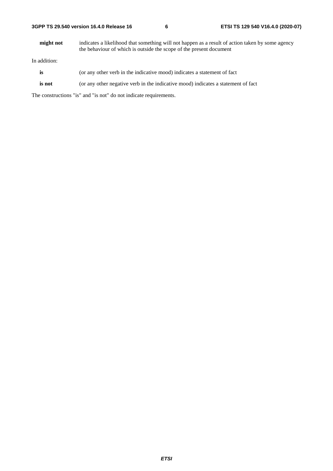| 3GPP TS 29.540 version 16.4.0 Release 16 |  |  |  |  |  |  |
|------------------------------------------|--|--|--|--|--|--|
|------------------------------------------|--|--|--|--|--|--|

**might not** indicates a likelihood that something will not happen as a result of action taken by some agency the behaviour of which is outside the scope of the present document

In addition:

- is (or any other verb in the indicative mood) indicates a statement of fact
- **is not** (or any other negative verb in the indicative mood) indicates a statement of fact

The constructions "is" and "is not" do not indicate requirements.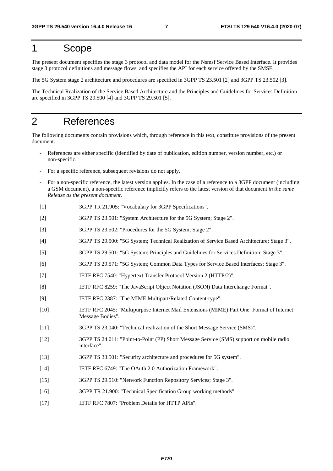# 1 Scope

The present document specifies the stage 3 protocol and data model for the Nsmsf Service Based Interface. It provides stage 3 protocol definitions and message flows, and specifies the API for each service offered by the SMSF.

The 5G System stage 2 architecture and procedures are specified in 3GPP TS 23.501 [2] and 3GPP TS 23.502 [3].

The Technical Realization of the Service Based Architecture and the Principles and Guidelines for Services Definition are specified in 3GPP TS 29.500 [4] and 3GPP TS 29.501 [5].

# 2 References

The following documents contain provisions which, through reference in this text, constitute provisions of the present document.

- References are either specific (identified by date of publication, edition number, version number, etc.) or non-specific.
- For a specific reference, subsequent revisions do not apply.
- For a non-specific reference, the latest version applies. In the case of a reference to a 3GPP document (including a GSM document), a non-specific reference implicitly refers to the latest version of that document *in the same Release as the present document*.
- [1] 3GPP TR 21.905: "Vocabulary for 3GPP Specifications".
- [2] 3GPP TS 23.501: "System Architecture for the 5G System; Stage 2".
- [3] 3GPP TS 23.502: "Procedures for the 5G System; Stage 2".
- [4] 3GPP TS 29.500: "5G System; Technical Realization of Service Based Architecture; Stage 3".
- [5] 3GPP TS 29.501: "5G System; Principles and Guidelines for Services Definition; Stage 3".
- [6] 3GPP TS 29.571: "5G System; Common Data Types for Service Based Interfaces; Stage 3".
- [7] IETF RFC 7540: "Hypertext Transfer Protocol Version 2 (HTTP/2)".
- [8] IETF RFC 8259: "The JavaScript Object Notation (JSON) Data Interchange Format".
- [9] IETF RFC 2387: "The MIME Multipart/Related Content-type".
- [10] IETF RFC 2045: "Multipurpose Internet Mail Extensions (MIME) Part One: Format of Internet Message Bodies".
- [11] 3GPP TS 23.040: "Technical realization of the Short Message Service (SMS)".
- [12] 3GPP TS 24.011: "Point-to-Point (PP) Short Message Service (SMS) support on mobile radio interface".
- [13] 3GPP TS 33.501: "Security architecture and procedures for 5G system".
- [14] IETF RFC 6749: "The OAuth 2.0 Authorization Framework".
- [15] 3GPP TS 29.510: "Network Function Repository Services; Stage 3".
- [16] 3GPP TR 21.900: "Technical Specification Group working methods".
- [17] IETF RFC 7807: "Problem Details for HTTP APIs".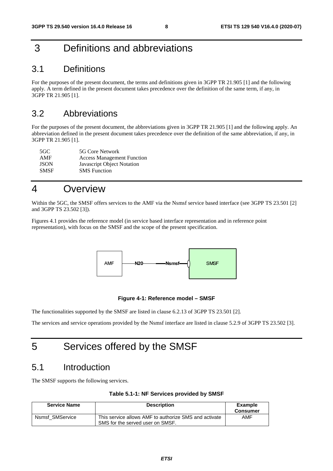# 3 Definitions and abbreviations

# 3.1 Definitions

For the purposes of the present document, the terms and definitions given in 3GPP TR 21.905 [1] and the following apply. A term defined in the present document takes precedence over the definition of the same term, if any, in 3GPP TR 21.905 [1].

# 3.2 Abbreviations

For the purposes of the present document, the abbreviations given in 3GPP TR 21.905 [1] and the following apply. An abbreviation defined in the present document takes precedence over the definition of the same abbreviation, if any, in 3GPP TR 21.905 [1].

| 5GC.        | 5G Core Network                   |
|-------------|-----------------------------------|
| AMF         | <b>Access Management Function</b> |
| <b>JSON</b> | Javascript Object Notation        |
| <b>SMSF</b> | <b>SMS</b> Function               |

# 4 Overview

Within the 5GC, the SMSF offers services to the AMF via the Nsmsf service based interface (see 3GPP TS 23.501 [2] and 3GPP TS 23.502 [3]).

Figures 4.1 provides the reference model (in service based interface representation and in reference point representation), with focus on the SMSF and the scope of the present specification.



#### **Figure 4-1: Reference model – SMSF**

The functionalities supported by the SMSF are listed in clause 6.2.13 of 3GPP TS 23.501 [2].

The services and service operations provided by the Nsmsf interface are listed in clause 5.2.9 of 3GPP TS 23.502 [3].

# 5 Services offered by the SMSF

# 5.1 Introduction

The SMSF supports the following services.

| Table 5.1-1: NF Services provided by SMSF |  |  |  |
|-------------------------------------------|--|--|--|
|-------------------------------------------|--|--|--|

| <b>Service Name</b> | <b>Description</b>                                                                        | <b>Example</b><br><b>Consumer</b> |
|---------------------|-------------------------------------------------------------------------------------------|-----------------------------------|
| Nsmsf SMService     | This service allows AMF to authorize SMS and activate<br>SMS for the served user on SMSF. | AMF                               |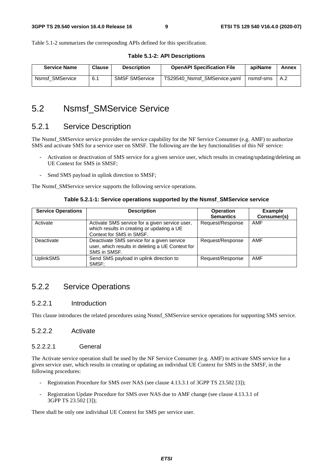Table 5.1-2 summarizes the corresponding APIs defined for this specification.

| <b>Service Name</b> | <b>Clause</b> | <b>Description</b>    | <b>OpenAPI Specification File</b> | apiName   | Annex |
|---------------------|---------------|-----------------------|-----------------------------------|-----------|-------|
| Nsmsf SMService     | 6.1           | <b>SMSF SMService</b> | TS29540 Nsmsf SMService.vaml      | nsmsf-sms | A.2   |

# 5.2 Nsmsf\_SMService Service

## 5.2.1 Service Description

The Nsmsf\_SMService service provides the service capability for the NF Service Consumer (e.g. AMF) to authorize SMS and activate SMS for a service user on SMSF. The following are the key functionalities of this NF service:

- Activation or deactivation of SMS service for a given service user, which results in creating/updating/deleting an UE Context for SMS in SMSF;
- Send SMS payload in uplink direction to SMSF;

The Nsmsf\_SMService service supports the following service operations.

**Table 5.2.1-1: Service operations supported by the Nsmsf\_SMService service** 

| <b>Service Operations</b> | <b>Description</b>                                                                                                       | <b>Operation</b><br><b>Semantics</b> | <b>Example</b><br>Consumer(s) |
|---------------------------|--------------------------------------------------------------------------------------------------------------------------|--------------------------------------|-------------------------------|
| Activate                  | Activate SMS service for a given service user,<br>which results in creating or updating a UE<br>Context for SMS in SMSF. | Request/Response                     | <b>AMF</b>                    |
| Deactivate                | Deactivate SMS service for a given service<br>user, which results in deleting a UE Context for<br>SMS in SMSF.           | Request/Response                     | <b>AMF</b>                    |
| <b>UplinkSMS</b>          | Send SMS payload in uplink direction to<br>SMSF:                                                                         | Request/Response                     | <b>AMF</b>                    |

# 5.2.2 Service Operations

#### 5.2.2.1 Introduction

This clause introduces the related procedures using Nsmsf\_SMService service operations for supporting SMS service.

#### 5.2.2.2 Activate

#### 5.2.2.2.1 General

The Activate service operation shall be used by the NF Service Consumer (e.g. AMF) to activate SMS service for a given service user, which results in creating or updating an individual UE Context for SMS in the SMSF, in the following procedures:

- Registration Procedure for SMS over NAS (see clause 4.13.3.1 of 3GPP TS 23.502 [3]);
- Registration Update Procedure for SMS over NAS due to AMF change (see clause 4.13.3.1 of 3GPP TS 23.502 [3]);

There shall be only one individual UE Context for SMS per service user.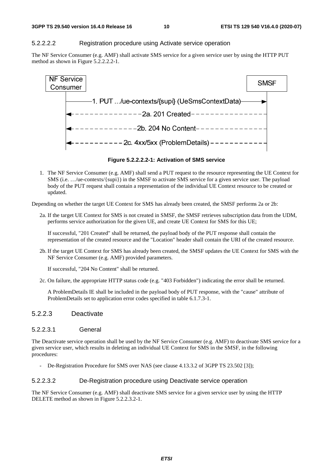#### 5.2.2.2.2 Registration procedure using Activate service operation

The NF Service Consumer (e.g. AMF) shall activate SMS service for a given service user by using the HTTP PUT method as shown in Figure 5.2.2.2.2-1.



**Figure 5.2.2.2.2-1: Activation of SMS service** 

1. The NF Service Consumer (e.g. AMF) shall send a PUT request to the resource representing the UE Context for SMS (i.e. …/ue-contexts/{supi}) in the SMSF to activate SMS service for a given service user. The payload body of the PUT request shall contain a representation of the individual UE Context resource to be created or updated.

Depending on whether the target UE Context for SMS has already been created, the SMSF performs 2a or 2b:

2a. If the target UE Context for SMS is not created in SMSF, the SMSF retrieves subscription data from the UDM, performs service authorization for the given UE, and create UE Context for SMS for this UE;

If successful, "201 Created" shall be returned, the payload body of the PUT response shall contain the representation of the created resource and the "Location" header shall contain the URI of the created resource.

2b. If the target UE Context for SMS has already been created, the SMSF updates the UE Context for SMS with the NF Service Consumer (e.g. AMF) provided parameters.

If successful, "204 No Content" shall be returned.

2c. On failure, the appropriate HTTP status code (e.g. "403 Forbidden") indicating the error shall be returned.

 A ProblemDetails IE shall be included in the payload body of PUT response, with the "cause" attribute of ProblemDetails set to application error codes specified in table 6.1.7.3-1.

#### 5.2.2.3 Deactivate

#### 5.2.2.3.1 General

The Deactivate service operation shall be used by the NF Service Consumer (e.g. AMF) to deactivate SMS service for a given service user, which results in deleting an individual UE Context for SMS in the SMSF, in the following procedures:

- De-Registration Procedure for SMS over NAS (see clause 4.13.3.2 of 3GPP TS 23.502 [3]);

#### 5.2.2.3.2 De-Registration procedure using Deactivate service operation

The NF Service Consumer (e.g. AMF) shall deactivate SMS service for a given service user by using the HTTP DELETE method as shown in Figure 5.2.2.3.2-1.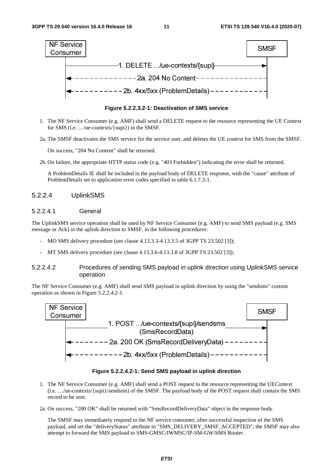

**Figure 5.2.2.3.2-1: Deactivation of SMS service** 

- 1. The NF Service Consumer (e.g. AMF) shall send a DELETE request to the resource representing the UE Context for SMS (i.e. …/ue-contexts/{supi}) in the SMSF.
- 2a. The SMSF deactivates the SMS service for the service user, and deletes the UE context for SMS from the SMSF.

On success, "204 No Content" shall be returned.

2b. On failure, the appropriate HTTP status code (e.g. "403 Forbidden") indicating the error shall be returned.

 A ProblemDetails IE shall be included in the payload body of DELETE response, with the "cause" attribute of ProblemDetails set to application error codes specified in table 6.1.7.3-1.

#### 5.2.2.4 UplinkSMS

#### 5.2.2.4.1 General

The UplinkSMS service operation shall be used by NF Service Consumer (e.g. AMF) to send SMS payload (e.g. SMS message or Ack) in the uplink direction to SMSF, in the following procedures:

- MO SMS delivery procedure (see clause 4.13.3.3-4.13.3.5 of 3GPP TS 23.502 [3]);
- MT SMS delivery procedure (see clause 4.13.3.6-4.13.3.8 of 3GPP TS 23.502 [3]);

#### 5.2.2.4.2 Procedures of sending SMS payload in uplink direction using UplinkSMS service operation

The NF Service Consumer (e.g. AMF) shall send SMS payload in uplink direction by using the "sendsms" custom operation as shown in Figure 5.2.2.4.2-1.



**Figure 5.2.2.4.2-1: Send SMS payload in uplink direction** 

- 1. The NF Service Consumer (e.g. AMF) shall send a POST request to the resource representing the UEContext (i.e. …/ue-contexts/{supi}/sendsms) of the SMSF. The payload body of the POST request shall contain the SMS record to be sent.
- 2a. On success, "200 OK" shall be returned with "SmsRecordDeliveryData" object in the response body.

 The SMSF may immediately respond to the NF service consumer, after successful inspection of the SMS payload, and set the "deliveryStatus" attribute to "SMS\_DELIVERY\_SMSF\_ACCEPTED"; the SMSF may also attempt to forward the SMS payload to SMS-GMSC/IWMSC/IP-SM-GW/SMS Router.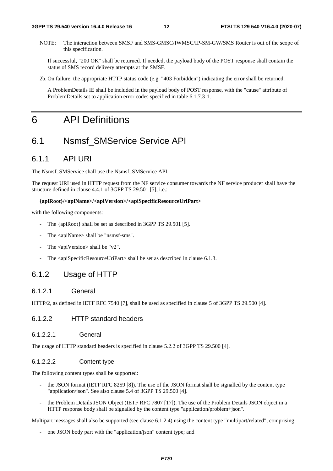NOTE: The interaction between SMSF and SMS-GMSC/IWMSC/IP-SM-GW/SMS Router is out of the scope of this specification.

If successful, "200 OK" shall be returned. If needed, the payload body of the POST response shall contain the status of SMS record delivery attempts at the SMSF.

2b. On failure, the appropriate HTTP status code (e.g. "403 Forbidden") indicating the error shall be returned.

 A ProblemDetails IE shall be included in the payload body of POST response, with the "cause" attribute of ProblemDetails set to application error codes specified in table 6.1.7.3-1.

# 6 API Definitions

# 6.1 Nsmsf\_SMService Service API

## 6.1.1 API URI

The Nsmsf\_SMService shall use the Nsmsf\_SMService API.

The request URI used in HTTP request from the NF service consumer towards the NF service producer shall have the structure defined in clause 4.4.1 of 3GPP TS 29.501 [5], i.e.:

#### **{apiRoot}/<apiName>/<apiVersion>/<apiSpecificResourceUriPart>**

with the following components:

- The {apiRoot} shall be set as described in 3GPP TS 29.501 [5].
- The <apiName> shall be "nsmsf-sms".
- The  $\langle$ apiVersion $>$ shall be "v2".
- The <apiSpecificResourceUriPart> shall be set as described in clause 6.1.3.

### 6.1.2 Usage of HTTP

#### 6.1.2.1 General

HTTP/2, as defined in IETF RFC 7540 [7], shall be used as specified in clause 5 of 3GPP TS 29.500 [4].

#### 6.1.2.2 HTTP standard headers

#### 6.1.2.2.1 General

The usage of HTTP standard headers is specified in clause 5.2.2 of 3GPP TS 29.500 [4].

#### 6.1.2.2.2 Content type

The following content types shall be supported:

- the JSON format (IETF RFC 8259 [8]). The use of the JSON format shall be signalled by the content type "application/json". See also clause 5.4 of 3GPP TS 29.500 [4].
- the Problem Details JSON Object (IETF RFC 7807 [17]). The use of the Problem Details JSON object in a HTTP response body shall be signalled by the content type "application/problem+json".

Multipart messages shall also be supported (see clause 6.1.2.4) using the content type "multipart/related", comprising:

one JSON body part with the "application/json" content type; and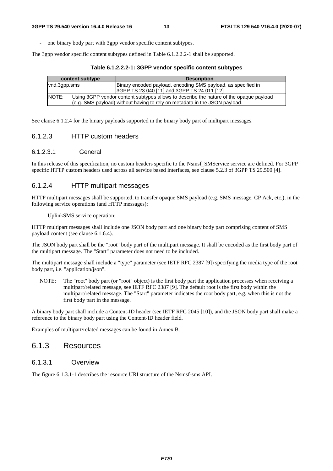one binary body part with 3gpp vendor specific content subtypes.

The 3gpp vendor specific content subtypes defined in Table 6.1.2.2.2-1 shall be supported.

**Table 6.1.2.2.2-1: 3GPP vendor specific content subtypes** 

| content subtype | <b>Description</b>                                                                     |
|-----------------|----------------------------------------------------------------------------------------|
| vnd.3qpp.sms    | Binary encoded payload, encoding SMS payload, as specified in                          |
|                 | 3GPP TS 23.040 [11] and 3GPP TS 24.011 [12].                                           |
| NOTE:           | Using 3GPP vendor content subtypes allows to describe the nature of the opaque payload |
|                 | (e.g. SMS payload) without having to rely on metadata in the JSON payload.             |

See clause 6.1.2.4 for the binary payloads supported in the binary body part of multipart messages.

#### 6.1.2.3 HTTP custom headers

#### 6.1.2.3.1 General

In this release of this specification, no custom headers specific to the Nsmsf\_SMService service are defined. For 3GPP specific HTTP custom headers used across all service based interfaces, see clause 5.2.3 of 3GPP TS 29.500 [4].

#### 6.1.2.4 HTTP multipart messages

HTTP multipart messages shall be supported, to transfer opaque SMS payload (e.g. SMS message, CP Ack, etc.), in the following service operations (and HTTP messages):

UplinkSMS service operation:

HTTP multipart messages shall include one JSON body part and one binary body part comprising content of SMS payload content (see clause 6.1.6.4).

The JSON body part shall be the "root" body part of the multipart message. It shall be encoded as the first body part of the multipart message. The "Start" parameter does not need to be included.

The multipart message shall include a "type" parameter (see IETF RFC 2387 [9]) specifying the media type of the root body part, i.e. "application/json".

NOTE: The "root" body part (or "root" object) is the first body part the application processes when receiving a multipart/related message, see IETF RFC 2387 [9]. The default root is the first body within the multipart/related message. The "Start" parameter indicates the root body part, e.g. when this is not the first body part in the message.

A binary body part shall include a Content-ID header (see IETF RFC 2045 [10]), and the JSON body part shall make a reference to the binary body part using the Content-ID header field.

Examples of multipart/related messages can be found in Annex B.

### 6.1.3 Resources

#### 6.1.3.1 Overview

The figure 6.1.3.1-1 describes the resource URI structure of the Nsmsf-sms API.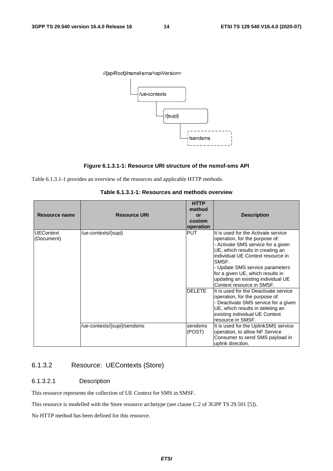





Table 6.1.3.1-1 provides an overview of the resources and applicable HTTP methods.

| Resource name    | <b>Resource URI</b>         | <b>HTTP</b><br>method<br>or<br>custom<br>operation | <b>Description</b>                                                     |
|------------------|-----------------------------|----------------------------------------------------|------------------------------------------------------------------------|
| <b>UEContext</b> | /ue-contexts/{supi}         | <b>PUT</b>                                         | It is used for the Activate service                                    |
| (Document)       |                             |                                                    | operation, for the purpose of:<br>- Activate SMS service for a given   |
|                  |                             |                                                    | UE, which results in creating an<br>individual UE Context resource in  |
|                  |                             |                                                    | SMSF.                                                                  |
|                  |                             |                                                    | - Update SMS service parameters                                        |
|                  |                             |                                                    | for a given UE, which results in                                       |
|                  |                             |                                                    | updating an existing individual UE<br>Context resource in SMSF.        |
|                  |                             | <b>DELETE</b>                                      | It is used for the Deactivate service                                  |
|                  |                             |                                                    | operation, for the purpose of:<br>- Deactivate SMS service for a given |
|                  |                             |                                                    | UE, which results in deleting an                                       |
|                  |                             |                                                    | existing individual UE Context                                         |
|                  |                             |                                                    | resource in SMSF.                                                      |
|                  | /ue-contexts/{supi}/sendsms | sendsms                                            | It is used for the UplinkSMS service                                   |
|                  |                             | (POST)                                             | operation, to allow NF Service                                         |
|                  |                             |                                                    | Consumer to send SMS payload in<br>uplink direction.                   |

**Table 6.1.3.1-1: Resources and methods overview** 

# 6.1.3.2 Resource: UEContexts (Store)

#### 6.1.3.2.1 Description

This resource represents the collection of UE Context for SMS in SMSF.

This resource is modelled with the Store resource archetype (see clause C.2 of 3GPP TS 29.501 [5]).

No HTTP method has been defined for this resource.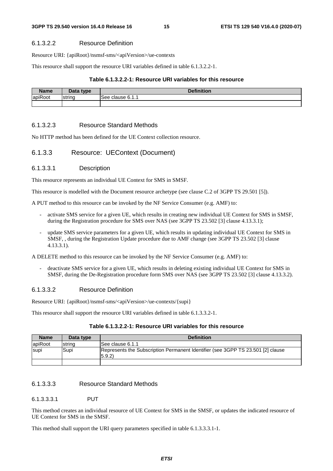#### 6.1.3.2.2 Resource Definition

Resource URI: {apiRoot}/nsmsf-sms/<apiVersion>/ue-contexts

This resource shall support the resource URI variables defined in table 6.1.3.2.2-1.

#### **Table 6.1.3.2.2-1: Resource URI variables for this resource**

| <b>Name</b> | Data type | <b>Definition</b>          |
|-------------|-----------|----------------------------|
| apiRoot     | Istring   | See<br>clause<br><b>0.</b> |
|             |           |                            |

#### 6.1.3.2.3 Resource Standard Methods

No HTTP method has been defined for the UE Context collection resource.

#### 6.1.3.3 Resource: UEContext (Document)

#### 6.1.3.3.1 Description

This resource represents an individual UE Context for SMS in SMSF.

This resource is modelled with the Document resource archetype (see clause C.2 of 3GPP TS 29.501 [5]).

A PUT method to this resource can be invoked by the NF Service Consumer (e.g. AMF) to:

- activate SMS service for a given UE, which results in creating new individual UE Context for SMS in SMSF, during the Registration procedure for SMS over NAS (see 3GPP TS 23.502 [3] clause 4.13.3.1);
- update SMS service parameters for a given UE, which results in updating individual UE Context for SMS in SMSF, , during the Registration Update procedure due to AMF change (see 3GPP TS 23.502 [3] clause 4.13.3.1).

A DELETE method to this resource can be invoked by the NF Service Consumer (e.g. AMF) to:

- deactivate SMS service for a given UE, which results in deleting existing individual UE Context for SMS in SMSF, during the De-Registration procedure form SMS over NAS (see 3GPP TS 23.502 [3] clause 4.13.3.2).

#### 6.1.3.3.2 Resource Definition

Resource URI: {apiRoot}/nsmsf-sms/<apiVersion>/ue-contexts/{supi}

This resource shall support the resource URI variables defined in table 6.1.3.3.2-1.

#### **Table 6.1.3.2.2-1: Resource URI variables for this resource**

| <b>Name</b> | Data type | <b>Definition</b>                                                                        |
|-------------|-----------|------------------------------------------------------------------------------------------|
| apiRoot     | Istrina   | ISee clause 6.1.1                                                                        |
| <b>Supi</b> | Supi      | Represents the Subscription Permanent Identifier (see 3GPP TS 23.501 [2] clause<br>5.9.2 |
|             |           |                                                                                          |

#### 6.1.3.3.3 Resource Standard Methods

#### 6.1.3.3.3.1 PUT

This method creates an individual resource of UE Context for SMS in the SMSF, or updates the indicated resource of UE Context for SMS in the SMSF.

This method shall support the URI query parameters specified in table 6.1.3.3.3.1-1.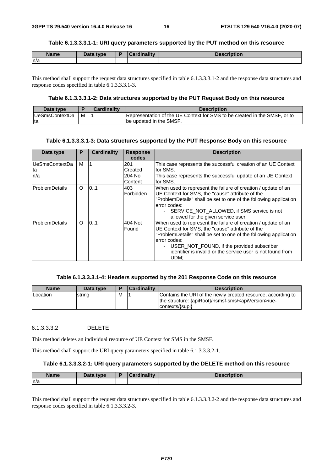#### **Table 6.1.3.3.3.1-1: URI query parameters supported by the PUT method on this resource**

| <b>Name</b> | Data type | Cardinality | <b>Description</b> |
|-------------|-----------|-------------|--------------------|
| n/a         |           |             |                    |

This method shall support the request data structures specified in table 6.1.3.3.3.1-2 and the response data structures and response codes specified in table 6.1.3.3.3.1-3.

#### **Table 6.1.3.3.3.1-2: Data structures supported by the PUT Request Body on this resource**

| Data type       |   | <b>Cardinality</b> | <b>Description</b>                                                        |
|-----------------|---|--------------------|---------------------------------------------------------------------------|
| lUeSmsContextDa | м |                    | Representation of the UE Context for SMS to be created in the SMSF, or to |
| Ita             |   |                    | Ibe updated in the SMSF.                                                  |

#### **Table 6.1.3.3.3.1-3: Data structures supported by the PUT Response Body on this resource**

| Data type            | P        | <b>Cardinality</b> | <b>Response</b><br>codes | <b>Description</b>                                                                                                                                                                                                                                                                                                                    |
|----------------------|----------|--------------------|--------------------------|---------------------------------------------------------------------------------------------------------------------------------------------------------------------------------------------------------------------------------------------------------------------------------------------------------------------------------------|
| UeSmsContextDa<br>ta | м        |                    | 201<br>Created           | This case represents the successful creation of an UE Context<br>lfor SMS.                                                                                                                                                                                                                                                            |
| n/a                  |          |                    | 204 No<br>Content        | This case represents the successful update of an UE Context<br>for SMS.                                                                                                                                                                                                                                                               |
| lProblemDetails      | $\Omega$ | 0.1                | 403<br>Forbidden         | When used to represent the failure of creation / update of an<br>UE Context for SMS, the "cause" attribute of the<br>"ProblemDetails" shall be set to one of the following application<br>error codes:<br>SERVICE NOT ALLOWED, if SMS service is not<br>$\sim$ 10 $\pm$<br>allowed for the given service user;                        |
| lProblemDetails      | $\Omega$ | 0.1                | 404 Not<br>Found         | When used to represent the failure of creation / update of an<br>UE Context for SMS, the "cause" attribute of the<br>"ProblemDetails" shall be set to one of the following application<br>error codes:<br>USER_NOT_FOUND, if the provided subscriber<br>$\sim$<br>identifier is invalid or the service user is not found from<br>UDM: |

#### **Table 6.1.3.3.3.1-4: Headers supported by the 201 Response Code on this resource**

| <b>Name</b> | Data type |   | Cardinality | <b>Description</b>                                                                                                                                    |
|-------------|-----------|---|-------------|-------------------------------------------------------------------------------------------------------------------------------------------------------|
| Location    | string    | M |             | Contains the URI of the newly created resource, according to<br>the structure: {apiRoot}/nsmsf-sms/ <apiversion>/ue-<br/>contexts/{supi}</apiversion> |

#### 6.1.3.3.3.2 DELETE

This method deletes an individual resource of UE Context for SMS in the SMSF.

This method shall support the URI query parameters specified in table 6.1.3.3.3.2-1.

#### **Table 6.1.3.3.3.2-1: URI query parameters supported by the DELETE method on this resource**

| Name | <b>Data type</b> | Cardinalitv | <b>Description</b> |
|------|------------------|-------------|--------------------|
| ln/a |                  |             |                    |

This method shall support the request data structures specified in table 6.1.3.3.3.2-2 and the response data structures and response codes specified in table 6.1.3.3.3.2-3.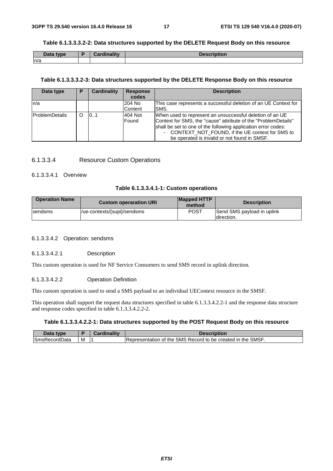#### **Table 6.1.3.3.3.2-2: Data structures supported by the DELETE Request Body on this resource**

| Data type | Cardinality | <b>Description</b> |
|-----------|-------------|--------------------|
| ln/a      |             |                    |

#### **Table 6.1.3.3.3.2-3: Data structures supported by the DELETE Response Body on this resource**

| Data type              | P | Cardinality | <b>Response</b><br>codes | <b>Description</b>                                                                                                                                                                                                                                                                               |
|------------------------|---|-------------|--------------------------|--------------------------------------------------------------------------------------------------------------------------------------------------------------------------------------------------------------------------------------------------------------------------------------------------|
| ln/a                   |   |             | 204 No<br><b>Content</b> | This case represents a successful deletion of an UE Context for<br><b>SMS.</b>                                                                                                                                                                                                                   |
| <b>IProblemDetails</b> |   | 10.1        | 404 Not<br>Found         | When used to represent an unsuccessful deletion of an UE<br>Context for SMS, the "cause" attribute of the "ProblemDetails"<br>shall be set to one of the following application error codes:<br>- CONTEXT_NOT_FOUND, if the UE context for SMS to<br>be operated is invalid or not found in SMSF. |

#### 6.1.3.3.4 Resource Custom Operations

#### 6.1.3.3.4.1 Overview

#### **Table 6.1.3.3.4.1-1: Custom operations**

| <b>Operation Name</b> | <b>Custom operaration URI</b> | <b>Mapped HTTP</b><br>method | <b>Description</b>                        |
|-----------------------|-------------------------------|------------------------------|-------------------------------------------|
| <b>Sendsms</b>        | /ue-contexts/{supi}/sendsms   | POST                         | Send SMS payload in uplink<br>Idirection. |

#### 6.1.3.3.4.2 Operation: sendsms

#### 6.1.3.3.4.2.1 Description

This custom operation is used for NF Service Consumers to send SMS record in uplink direction.

#### 6.1.3.3.4.2.2 Operation Definition

This custom operation is used to send a SMS payload to an individual UEContext resource in the SMSF.

This operation shall support the request data structures specified in table 6.1.3.3.4.2.2-1 and the response data structure and response codes specified in table 6.1.3.3.4.2.2-2.

#### **Table 6.1.3.3.4.2.2-1: Data structures supported by the POST Request Body on this resource**

| Data type            |   | Cardinality | <b>Description</b>                                          |
|----------------------|---|-------------|-------------------------------------------------------------|
| <b>SmsRecordData</b> | м |             | Representation of the SMS Record to be created in the SMSF. |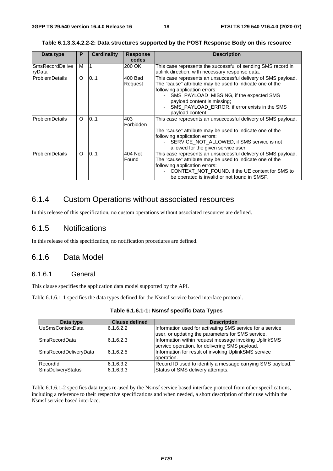| Data type             | Р       | <b>Cardinality</b> | <b>Response</b> | <b>Description</b>                                            |
|-----------------------|---------|--------------------|-----------------|---------------------------------------------------------------|
|                       |         |                    | codes           |                                                               |
| lSmsRecordDelive      | м       |                    | 200 OK          | This case represents the successful of sending SMS record in  |
| ryData                |         |                    |                 | uplink direction, with necessary response data.               |
| <b>ProblemDetails</b> | $\circ$ | 0.1                | 400 Bad         | This case represents an unsuccessful delivery of SMS payload. |
|                       |         |                    | Request         | The "cause" attribute may be used to indicate one of the      |
|                       |         |                    |                 | following application errors:                                 |
|                       |         |                    |                 | SMS_PAYLOAD_MISSING, if the expected SMS                      |
|                       |         |                    |                 | payload content is missing;                                   |
|                       |         |                    |                 | SMS_PAYLOAD_ERROR, if error exists in the SMS                 |
|                       |         |                    |                 | payload content.                                              |
| <b>ProblemDetails</b> | $\circ$ | 0.1                | 403             | This case represents an unsuccessful delivery of SMS payload. |
|                       |         |                    | Forbidden       |                                                               |
|                       |         |                    |                 | The "cause" attribute may be used to indicate one of the      |
|                       |         |                    |                 | following application errors:                                 |
|                       |         |                    |                 | SERVICE_NOT_ALLOWED, if SMS service is not<br>$\sim$          |
|                       |         |                    |                 | allowed for the given service user;                           |
| lProblemDetails       | O       | 0.1                | 404 Not         | This case represents an unsuccessful delivery of SMS payload. |
|                       |         |                    | Found           | The "cause" attribute may be used to indicate one of the      |
|                       |         |                    |                 | following application errors:                                 |
|                       |         |                    |                 | CONTEXT_NOT_FOUND, if the UE context for SMS to               |
|                       |         |                    |                 | be operated is invalid or not found in SMSF.                  |

**Table 6.1.3.3.4.2.2-2: Data structures supported by the POST Response Body on this resource** 

# 6.1.4 Custom Operations without associated resources

In this release of this specification, no custom operations without associated resources are defined.

### 6.1.5 Notifications

In this release of this specification, no notification procedures are defined.

### 6.1.6 Data Model

### 6.1.6.1 General

This clause specifies the application data model supported by the API.

Table 6.1.6.1-1 specifies the data types defined for the Nsmsf service based interface protocol.

| Data type                | <b>Clause defined</b> | <b>Description</b>                                                                                             |
|--------------------------|-----------------------|----------------------------------------------------------------------------------------------------------------|
| <b>UeSmsContextData</b>  | 6.1.6.2.2             | Information used for activating SMS service for a service<br>user, or updating the parameters for SMS service. |
| SmsRecordData            | 6.1.6.2.3             | Information within request message invoking UplinkSMS<br>service operation, for delivering SMS payload.        |
| SmsRecordDeliveryData    | 6.1.6.2.5             | Information for result of invoking UplinkSMS service<br>loperation.                                            |
| RecordId                 | 6.1.6.3.2             | Record ID used to identify a message carrying SMS payload.                                                     |
| <b>SmsDeliveryStatus</b> | 6.1.6.3.3             | Status of SMS delivery attempts.                                                                               |

Table 6.1.6.1-2 specifies data types re-used by the Nsmsf service based interface protocol from other specifications, including a reference to their respective specifications and when needed, a short description of their use within the Nsmsf service based interface.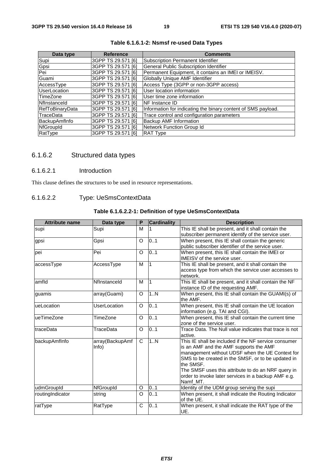| Data type              | <b>Reference</b>   | <b>Comments</b>                                               |
|------------------------|--------------------|---------------------------------------------------------------|
| Supi                   | 3GPP TS 29.571 [6] | Subscription Permanent Identifier                             |
| Gpsi                   | 3GPP TS 29.571 [6] | General Public Subscription Identifier                        |
| Pei                    | 3GPP TS 29.571 [6] | Permanent Equipment, it contains an IMEI or IMEISV.           |
| Guami                  | 3GPP TS 29.571 [6] | Globally Unique AMF Identifier                                |
| AccessType             | 3GPP TS 29.571 [6] | Access Type (3GPP or non-3GPP access)                         |
| <b>UserLocation</b>    | 3GPP TS 29.571 [6] | User location information                                     |
| TimeZone               | 3GPP TS 29.571 [6] | User time zone information                                    |
| Nflnstanceld           | 3GPP TS 29.571 [6] | <b>NF</b> Instance ID                                         |
| <b>RefToBinaryData</b> | 3GPP TS 29.571 [6] | Information for indicating the binary content of SMS payload. |
| TraceData              | 3GPP TS 29.571 [6] | Trace control and configuration parameters                    |
| BackupAmfInfo          | 3GPP TS 29.571 [6] | <b>Backup AMF Information</b>                                 |
| <b>NfGroupId</b>       | 3GPP TS 29.571 [6] | Network Function Group Id                                     |
| RatType                | 3GPP TS 29.571 [6] | <b>RAT Type</b>                                               |

#### **Table 6.1.6.1-2: Nsmsf re-used Data Types**

### 6.1.6.2 Structured data types

### 6.1.6.2.1 Introduction

This clause defines the structures to be used in resource representations.

### 6.1.6.2.2 Type: UeSmsContextData

#### **Table 6.1.6.2.2-1: Definition of type UeSmsContextData**

| <b>Attribute name</b> | Data type                | P            | Cardinality    | <b>Description</b>                                                                                                                                                                                                                                                                                                                            |
|-----------------------|--------------------------|--------------|----------------|-----------------------------------------------------------------------------------------------------------------------------------------------------------------------------------------------------------------------------------------------------------------------------------------------------------------------------------------------|
| supi                  | Supi                     | м            |                | This IE shall be present, and it shall contain the<br>subscriber permanent identify of the service user.                                                                                                                                                                                                                                      |
| gpsi                  | Gpsi                     | O            | 0.1            | When present, this IE shall contain the generic<br>public subscriber identifier of the service user.                                                                                                                                                                                                                                          |
| pei                   | Pei                      | O            | 0.1            | When present, this IE shall contain the IMEI or<br><b>IMEISV</b> of the service user.                                                                                                                                                                                                                                                         |
| accessType            | AccessType               | м            | $\overline{1}$ | This IE shall be present, and it shall contain the<br>access type from which the service user accesses to<br>network.                                                                                                                                                                                                                         |
| amfld                 | Nflnstanceld             | M            | $\overline{1}$ | This IE shall be present, and it shall contain the NF<br>instance ID of the requesting AMF.                                                                                                                                                                                                                                                   |
| guamis                | array(Guami)             | O            | 1N             | When present, this IE shall contain the GUAMI(s) of<br>the AMF.                                                                                                                                                                                                                                                                               |
| ueLocation            | UserLocation             | O            | 0.1            | When present, this IE shall contain the UE location<br>information (e.g. TAI and CGI).                                                                                                                                                                                                                                                        |
| ueTimeZone            | TimeZone                 | O            | 0.1            | When present, this IE shall contain the current time<br>zone of the service user.                                                                                                                                                                                                                                                             |
| traceData             | TraceData                | O            | 0.1            | Trace Data. The Null value indicates that trace is not<br>active.                                                                                                                                                                                                                                                                             |
| backupAmfInfo         | array(BackupAmf<br>Info) | $\mathsf{C}$ | 1N             | This IE shall be included if the NF service consumer<br>is an AMF and the AMF supports the AMF<br>management without UDSF when the UE Context for<br>SMS to be created in the SMSF, or to be updated in<br>the SMSF.<br>The SMSF uses this attribute to do an NRF query in<br>order to invoke later services in a backup AMF e.g.<br>Namf MT. |
| udmGroupId            | NfGroupId                | O            | 0.1            | Identity of the UDM group serving the supi                                                                                                                                                                                                                                                                                                    |
| routingIndicator      | string                   | $\Omega$     | 0.1            | When present, it shall indicate the Routing Indicator<br>of the UE.                                                                                                                                                                                                                                                                           |
| ratType               | RatType                  | C            | 0.1            | When present, it shall indicate the RAT type of the<br>UE.                                                                                                                                                                                                                                                                                    |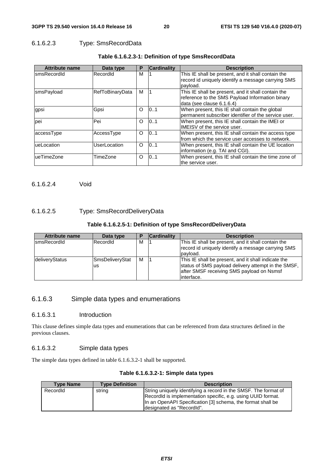#### 6.1.6.2.3 Type: SmsRecordData

| <b>Attribute name</b> | Data type       | P        | <b>Cardinality</b> | <b>Description</b>                                   |
|-----------------------|-----------------|----------|--------------------|------------------------------------------------------|
| smsRecordId           | Recordid        | М        |                    | This IE shall be present, and it shall contain the   |
|                       |                 |          |                    | record id uniquely identify a message carrying SMS   |
|                       |                 |          |                    | pavload.                                             |
| smsPayload            | RefToBinaryData | м        |                    | This IE shall be present, and it shall contain the   |
|                       |                 |          |                    | reference to the SMS Payload Information binary      |
|                       |                 |          |                    | data (see clause 6.1.6.4)                            |
| gpsi                  | Gpsi            | $\Omega$ | 101                | When present, this IE shall contain the global       |
|                       |                 |          |                    | permanent subscriber identifier of the service user. |
| pei                   | Pei             | $\Omega$ | 101                | When present, this IE shall contain the IMEI or      |
|                       |                 |          |                    | IMEISV of the service user.                          |
| accessType            | AccessType      | $\circ$  | 0.1                | When present, this IE shall contain the access type  |
|                       |                 |          |                    | from which the service user accesses to network.     |
| ueLocation            | UserLocation    | $\Omega$ | 101                | When present, this IE shall contain the UE location  |
|                       |                 |          |                    | information (e.g. TAI and CGI).                      |
| ueTimeZone            | TimeZone        | O        | 101                | When present, this IE shall contain the time zone of |
|                       |                 |          |                    | the service user.                                    |

#### **Table 6.1.6.2.3-1: Definition of type SmsRecordData**

6.1.6.2.4 Void

#### 6.1.6.2.5 Type: SmsRecordDeliveryData

#### **Table 6.1.6.2.5-1: Definition of type SmsRecordDeliveryData**

| <b>Attribute name</b> | Data type             |   | <b>Cardinality</b> | <b>Description</b>                                                                                                                                                     |
|-----------------------|-----------------------|---|--------------------|------------------------------------------------------------------------------------------------------------------------------------------------------------------------|
| <b>IsmsRecordId</b>   | RecordId              | M |                    | This IE shall be present, and it shall contain the<br>record id uniquely identify a message carrying SMS<br>payload.                                                   |
| deliveryStatus        | SmsDeliveryStat<br>us | м |                    | This IE shall be present, and it shall indicate the<br>status of SMS payload delivery attempt in the SMSF,<br>after SMSF receiving SMS payload on Nsmsf<br>linterface. |

### 6.1.6.3 Simple data types and enumerations

#### 6.1.6.3.1 Introduction

This clause defines simple data types and enumerations that can be referenced from data structures defined in the previous clauses.

#### 6.1.6.3.2 Simple data types

The simple data types defined in table 6.1.6.3.2-1 shall be supported.

| <b>Type Name</b> | <b>Type Definition</b> | <b>Description</b>                                              |
|------------------|------------------------|-----------------------------------------------------------------|
| Recordid         | string                 | String uniquely identifying a record in the SMSF. The format of |
|                  |                        | RecordId is implementation specific, e.g. using UUID format.    |
|                  |                        | In an OpenAPI Specification [3] schema, the format shall be     |
|                  |                        | designated as "RecordId".                                       |

#### **Table 6.1.6.3.2-1: Simple data types**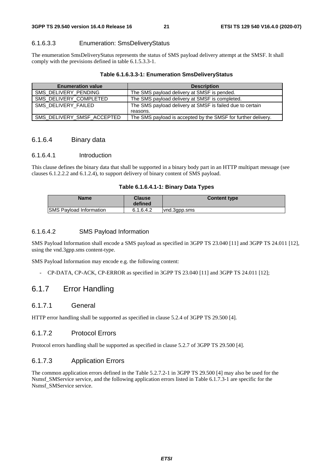### 6.1.6.3.3 Enumeration: SmsDeliveryStatus

The enumeration SmsDeliveryStatus represents the status of SMS payload delivery attempt at the SMSF. It shall comply with the previsions defined in table 6.1.5.3.3-1.

#### **Table 6.1.6.3.3-1: Enumeration SmsDeliveryStatus**

| <b>Enumeration value</b>   | <b>Description</b>                                            |
|----------------------------|---------------------------------------------------------------|
| SMS DELIVERY PENDING       | The SMS payload delivery at SMSF is pended.                   |
| SMS DELIVERY COMPLETED     | The SMS payload delivery at SMSF is completed.                |
| SMS DELIVERY FAILED        | The SMS payload delivery at SMSF is failed due to certain     |
|                            | reasons.                                                      |
| SMS DELIVERY SMSF ACCEPTED | The SMS payload is accepted by the SMSF for further delivery. |

## 6.1.6.4 Binary data

### 6.1.6.4.1 Introduction

This clause defines the binary data that shall be supported in a binary body part in an HTTP multipart message (see clauses 6.1.2.2.2 and 6.1.2.4), to support delivery of binary content of SMS payload.

#### **Table 6.1.6.4.1-1: Binary Data Types**

| <b>Name</b>                    | Clause<br>defined | <b>Content type</b> |
|--------------------------------|-------------------|---------------------|
| <b>SMS Payload Information</b> | 6.1.6.4.2         | vnd.3gpp.sms        |

### 6.1.6.4.2 SMS Payload Information

SMS Payload Information shall encode a SMS payload as specified in 3GPP TS 23.040 [11] and 3GPP TS 24.011 [12], using the vnd.3gpp.sms content-type.

SMS Payload Information may encode e.g. the following content:

- CP-DATA, CP-ACK, CP-ERROR as specified in 3GPP TS 23.040 [11] and 3GPP TS 24.011 [12];

# 6.1.7 Error Handling

# 6.1.7.1 General

HTTP error handling shall be supported as specified in clause 5.2.4 of 3GPP TS 29.500 [4].

### 6.1.7.2 Protocol Errors

Protocol errors handling shall be supported as specified in clause 5.2.7 of 3GPP TS 29.500 [4].

### 6.1.7.3 Application Errors

The common application errors defined in the Table 5.2.7.2-1 in 3GPP TS 29.500 [4] may also be used for the Nsmsf\_SMService service, and the following application errors listed in Table 6.1.7.3-1 are specific for the Nsmsf\_SMService service.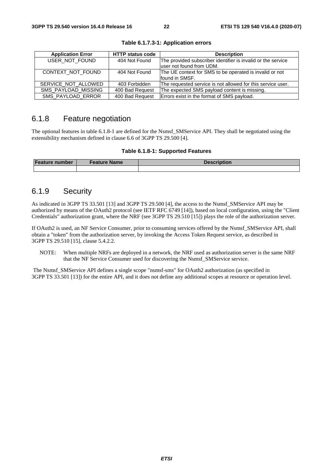| <b>Application Error</b> | <b>HTTP status code</b> | <b>Description</b>                                           |
|--------------------------|-------------------------|--------------------------------------------------------------|
| USER_NOT_FOUND           | 404 Not Found           | The provided subscriber identifier is invalid or the service |
|                          |                         | luser not found from UDM.                                    |
| CONTEXT_NOT_FOUND        | 404 Not Found           | The UE context for SMS to be operated is invalid or not      |
|                          |                         | found in SMSF.                                               |
| SERVICE NOT ALLOWED      | 403 Forbidden           | The requested service is not allowed for this service user.  |
| SMS_PAYLOAD_MISSING      | 400 Bad Request         | The expected SMS payload content is missing.                 |
| SMS_PAYLOAD_ERROR        | 400 Bad Request         | Errors exist in the format of SMS payload.                   |

**Table 6.1.7.3-1: Application errors** 

## 6.1.8 Feature negotiation

The optional features in table 6.1.8-1 are defined for the Nsmsf\_SMService API. They shall be negotiated using the extensibility mechanism defined in clause 6.6 of 3GPP TS 29.500 [4].

#### **Table 6.1.8-1: Supported Features**

| Feature number | <b>Feature Name</b> | <b>Description</b> |
|----------------|---------------------|--------------------|
|                |                     |                    |

# 6.1.9 Security

As indicated in 3GPP TS 33.501 [13] and 3GPP TS 29.500 [4], the access to the Nsmsf\_SMService API may be authorized by means of the OAuth2 protocol (see IETF RFC 6749 [14]), based on local configuration, using the "Client Credentials" authorization grant, where the NRF (see 3GPP TS 29.510 [15]) plays the role of the authorization server.

If OAuth2 is used, an NF Service Consumer, prior to consuming services offered by the Nsmsf\_SMService API, shall obtain a "token" from the authorization server, by invoking the Access Token Request service, as described in 3GPP TS 29.510 [15], clause 5.4.2.2.

NOTE: When multiple NRFs are deployed in a network, the NRF used as authorization server is the same NRF that the NF Service Consumer used for discovering the Nsmsf\_SMService service.

 The Nsmsf\_SMService API defines a single scope "nsmsf-sms" for OAuth2 authorization (as specified in 3GPP TS 33.501 [13]) for the entire API, and it does not define any additional scopes at resource or operation level.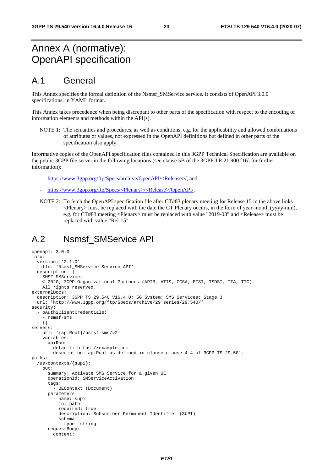# Annex A (normative): OpenAPI specification

# A.1 General

This Annex specifies the formal definition of the Nsmsf\_SMService service. It consists of OpenAPI 3.0.0 specifications, in YAML format.

This Annex takes precedence when being discrepant to other parts of the specification with respect to the encoding of information elements and methods within the API(s).

NOTE 1: The semantics and procedures, as well as conditions, e.g. for the applicability and allowed combinations of attributes or values, not expressed in the OpenAPI definitions but defined in other parts of the specification also apply.

Informative copies of the OpenAPI specification files contained in this 3GPP Technical Specification are available on the public 3GPP file server in the following locations (see clause 5B of the 3GPP TR 21.900 [16] for further information):

- [https://www.3gpp.org/ftp/Specs/archive/OpenAPI/<Release>/](https://www.3gpp.org/ftp/Specs/archive/OpenAPI/%3cRelease%3e/), and
- [https://www.3gpp.org/ftp/Specs/<Plenary>/<Release>/OpenAPI/](https://www.3gpp.org/ftp/Specs/%3cPlenary%3e/%3cRelease%3e/OpenAPI/).
- NOTE 2: To fetch the OpenAPI specification file after CT#83 plenary meeting for Release 15 in the above links  $\leq$ Plenary $>$  must be replaced with the date the CT Plenary occurs, in the form of year-month (yyyy-mm), e.g. for CT#83 meeting <Plenary> must be replaced with value "2019-03" and <Release> must be replaced with value "Rel-15".

# A.2 Nsmsf\_SMService API

```
openapi: 3.0.0 
info: 
   version: '2.1.0' 
   title: 'Nsmsf_SMService Service API' 
   description: | 
     SMSF SMService. 
     © 2020, 3GPP Organizational Partners (ARIB, ATIS, CCSA, ETSI, TSDSI, TTA, TTC). 
     All rights reserved. 
externalDocs: 
  description: 3GPP TS 29.540 V16.4.0; 5G System; SMS Services; Stage 3
   url: 'http://www.3gpp.org/ftp/Specs/archive/29_series/29.540/' 
security: 
   - oAuth2ClientCredentials: 
     - nsmsf-sms 
   - {} 
servers: 
   - url: '{apiRoot}/nsmsf-sms/v2' 
     variables: 
       apiRoot: 
         default: https://example.com 
         description: apiRoot as defined in clause clause 4.4 of 3GPP TS 29.501. 
paths: 
   /ue-contexts/{supi}: 
     put: 
       summary: Activate SMS Service for a given UE 
       operationId: SMServiceActivation 
       tags: 
         - UEContext (Document) 
       parameters: 
          - name: supi 
           in: path 
           required: true 
           description: Subscriber Permanent Identifier (SUPI) 
           schema: 
              type: string 
       requestBody: 
          content:
```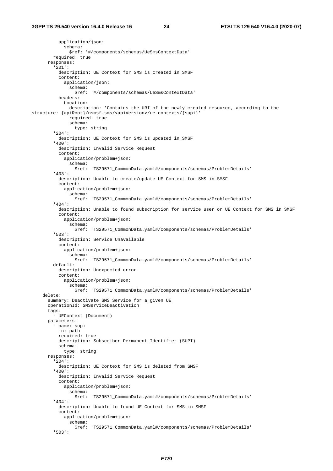application/json: schema: \$ref: '#/components/schemas/UeSmsContextData' required: true responses: '201': description: UE Context for SMS is created in SMSF content: application/json: schema: \$ref: '#/components/schemas/UeSmsContextData' headers: Location: description: 'Contains the URI of the newly created resource, according to the structure: {apiRoot}/nsmsf-sms/<apiVersion>/ue-contexts/{supi}' required: true schema: type: string '204': description: UE Context for SMS is updated in SMSF '400': description: Invalid Service Request content: application/problem+json: schema: \$ref: 'TS29571\_CommonData.yaml#/components/schemas/ProblemDetails' '403': description: Unable to create/update UE Context for SMS in SMSF content: application/problem+json: schema: \$ref: 'TS29571\_CommonData.yaml#/components/schemas/ProblemDetails' '404': description: Unable to found subscription for service user or UE Context for SMS in SMSF content: application/problem+json: schema: \$ref: 'TS29571\_CommonData.yaml#/components/schemas/ProblemDetails' '503': description: Service Unavailable content: application/problem+json: schema: \$ref: 'TS29571\_CommonData.yaml#/components/schemas/ProblemDetails' default: description: Unexpected error content: application/problem+json: schema: \$ref: 'TS29571\_CommonData.yaml#/components/schemas/ProblemDetails' delete: summary: Deactivate SMS Service for a given UE operationId: SMServiceDeactivation tags: - UEContext (Document) parameters: - name: supi in: path required: true description: Subscriber Permanent Identifier (SUPI) schema: type: string responses: '204': description: UE Context for SMS is deleted from SMSF '400': description: Invalid Service Request content: application/problem+json: schema: \$ref: 'TS29571\_CommonData.yaml#/components/schemas/ProblemDetails' '404': description: Unable to found UE Context for SMS in SMSF content: application/problem+json: schema: \$ref: 'TS29571\_CommonData.yaml#/components/schemas/ProblemDetails' '503':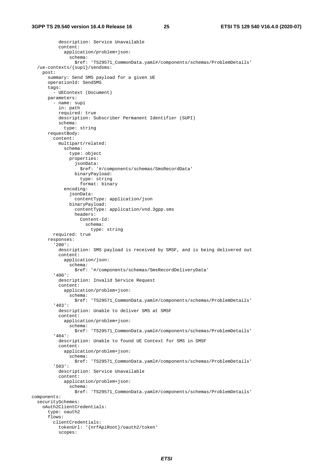```
 description: Service Unavailable 
            content: 
              application/problem+json: 
                schema: 
                  $ref: 'TS29571_CommonData.yaml#/components/schemas/ProblemDetails' 
   /ue-contexts/{supi}/sendsms: 
     post: 
       summary: Send SMS payload for a given UE 
       operationId: SendSMS 
       tags: 
         - UEContext (Document) 
       parameters: 
          - name: supi 
           in: path 
           required: true 
           description: Subscriber Permanent Identifier (SUPI) 
            schema: 
              type: string 
       requestBody: 
         content: 
           multipart/related: 
              schema: 
                type: object 
                properties: 
                  jsonData: 
                    $ref: '#/components/schemas/SmsRecordData' 
                  binaryPayload: 
                    type: string 
                    format: binary 
              encoding: 
                jsonData: 
                  contentType: application/json 
                binaryPayload: 
                  contentType: application/vnd.3gpp.sms 
                  headers: 
                    Content-Id: 
                      schema: 
                         type: string 
         required: true 
       responses: 
          '200': 
           description: SMS payload is received by SMSF, and is being delivered out 
           content: 
              application/json: 
                schema: 
                  $ref: '#/components/schemas/SmsRecordDeliveryData' 
          '400': 
           description: Invalid Service Request 
            content: 
              application/problem+json: 
                schema: 
                  $ref: 'TS29571_CommonData.yaml#/components/schemas/ProblemDetails' 
          '403': 
            description: Unable to deliver SMS at SMSF 
           content: 
              application/problem+json: 
                schema: 
                  $ref: 'TS29571_CommonData.yaml#/components/schemas/ProblemDetails' 
          '404': 
           description: Unable to found UE Context for SMS in SMSF 
            content: 
              application/problem+json: 
                schema: 
                  $ref: 'TS29571_CommonData.yaml#/components/schemas/ProblemDetails' 
          '503': 
           description: Service Unavailable 
            content: 
              application/problem+json: 
                schema: 
                  $ref: 'TS29571_CommonData.yaml#/components/schemas/ProblemDetails' 
components: 
   securitySchemes: 
     oAuth2ClientCredentials: 
       type: oauth2 
       flows: 
         clientCredentials: 
           tokenUrl: '{nrfApiRoot}/oauth2/token' 
            scopes:
```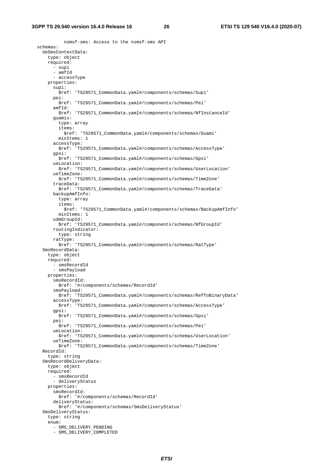nsmsf-sms: Access to the nsmsf-sms API schemas: UeSmsContextData: type: object required: - supi  $-$  amfId - accessType properties: supi: \$ref: 'TS29571\_CommonData.yaml#/components/schemas/Supi' pei: \$ref: 'TS29571\_CommonData.yaml#/components/schemas/Pei' amfId: \$ref: 'TS29571\_CommonData.yaml#/components/schemas/NfInstanceId' guamis: type: array items: \$ref: 'TS29571\_CommonData.yaml#/components/schemas/Guami' minItems: 1 accessType: \$ref: 'TS29571\_CommonData.yaml#/components/schemas/AccessType' gpsi: \$ref: 'TS29571\_CommonData.yaml#/components/schemas/Gpsi' ueLocation: \$ref: 'TS29571\_CommonData.yaml#/components/schemas/UserLocation' ueTimeZone: \$ref: 'TS29571\_CommonData.yaml#/components/schemas/TimeZone' traceData: \$ref: 'TS29571\_CommonData.yaml#/components/schemas/TraceData' backupAmfInfo: type: array items: \$ref: 'TS29571\_CommonData.yaml#/components/schemas/BackupAmfInfo' minItems: 1 udmGroupId: \$ref: 'TS29571\_CommonData.yaml#/components/schemas/NfGroupId' routingIndicator: type: string ratType: \$ref: 'TS29571\_CommonData.yaml#/components/schemas/RatType' SmsRecordData: type: object required: - smsRecordId - smsPayload properties: smsRecordId: \$ref: '#/components/schemas/RecordId' smsPayload: \$ref: 'TS29571\_CommonData.yaml#/components/schemas/RefToBinaryData' accessType: \$ref: 'TS29571\_CommonData.yaml#/components/schemas/AccessType' gpsi: \$ref: 'TS29571\_CommonData.yaml#/components/schemas/Gpsi' pei: \$ref: 'TS29571\_CommonData.yaml#/components/schemas/Pei' ueLocation: \$ref: 'TS29571\_CommonData.yaml#/components/schemas/UserLocation' ueTimeZone: \$ref: 'TS29571\_CommonData.yaml#/components/schemas/TimeZone' RecordId: type: string SmsRecordDeliveryData: type: object required: - smsRecordId - deliveryStatus properties: smsRecordId: \$ref: '#/components/schemas/RecordId' deliveryStatus: \$ref: '#/components/schemas/SmsDeliveryStatus' SmsDeliveryStatus: type: string enum: - SMS DELIVERY PENDING - SMS\_DELIVERY\_COMPLETED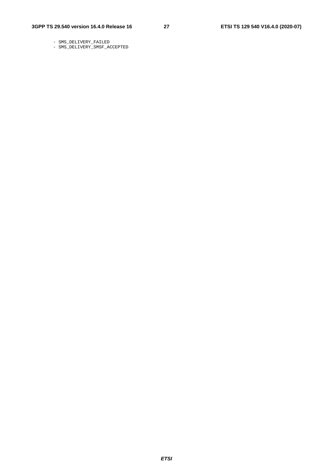- SMS\_DELIVERY\_FAILED
- SMS\_DELIVERY\_SMSF\_ACCEPTED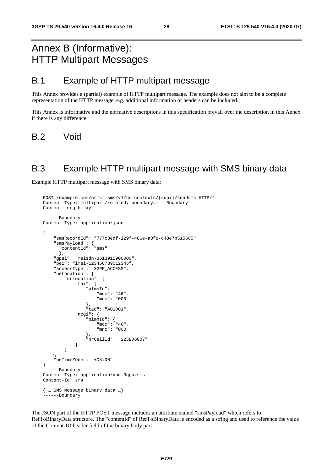# Annex B (Informative): HTTP Multipart Messages

# B.1 Example of HTTP multipart message

This Annex provides a (partial) example of HTTP multipart message. The example does not aim to be a complete representation of the HTTP message, e.g. additional information or headers can be included.

This Annex is informative and the normative descriptions in this specification prevail over the description in this Annex if there is any difference.

B.2 Void

# B.3 Example HTTP multipart message with SMS binary data

Example HTTP multipart message with SMS binary data:

```
POST /example.com/nsmsf-sms/v1/ue-contexts/{supi}/sendsms HTTP/2 
Content-Type: multipart/related; boundary=----Boundary 
Content-Length: xyz 
------Boundary 
Content-Type: application/json 
{ 
     "smsRecordId": "777c3edf-129f-486e-a3f8-c48e7b515605", 
 "smsPayload": { 
 "contentId": "sms" 
       }, 
     "gpsi": "msisdn-8613915900000", 
     "pei": "imei-123456789012345", 
     "accessType": "3GPP_ACCESS", 
     "ueLocation": { 
         "nrLocation": { 
             "tai": { 
 "plmnId": { 
 "mcc": "46", 
                     "mnc": "000" 
 }, 
 "tac": "A01001", 
             "ncgi": { 
                 "plmnId": { 
                    "mcc": "46", 
                     "mnc": "000" 
                 }, 
             "nrCellId": "225BD6007" 
 } 
         } 
   }, 
     "ueTimeZone": "+08:00" 
} 
 ------Boundary 
Content-Type: application/vnd.3gpp.sms 
Content-Id: sms 
{ … SMS Message binary data …} 
   ---Boundary
```
The JSON part of the HTTP POST message includes an attribute named "smsPayload" which refers to RefToBinaryData structure. The "contentId" of RefToBinaryData is encoded as a string and used to reference the value of the Content-ID header field of the binary body part.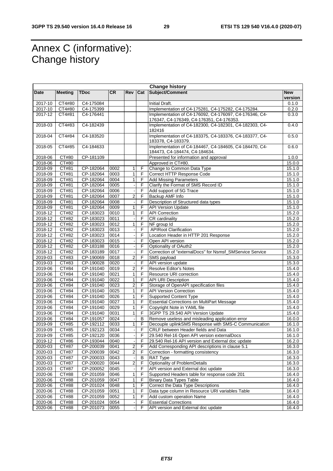# Annex C (informative): Change history

| <b>Change history</b> |                     |                        |           |                         |                |                                                          |            |
|-----------------------|---------------------|------------------------|-----------|-------------------------|----------------|----------------------------------------------------------|------------|
| Date                  | <b>Meeting</b>      | <b>TDoc</b>            | <b>CR</b> | <b>Rev</b>              | Cat            | Subject/Comment                                          | <b>New</b> |
|                       |                     |                        |           |                         |                |                                                          | version    |
| 2017-10               | $\overline{CT4#80}$ | C4-175084              |           |                         |                | Initial Draft.                                           | 0.1.0      |
| 2017-10               | CT4#80              | C4-175399              |           |                         |                | Implementation of C4-175281, C4-175282, C4-175284.       | 0.2.0      |
| 2017-12               | CT4#81              | C4-176441              |           |                         |                | Implementation of C4-176092, C4-176097, C4-176346, C4-   | 0.3.0      |
|                       |                     |                        |           |                         |                | 176347, C4-176349, C4-176351, C4-176353.                 |            |
| 2018-03               | CT4#83              | C4-182439              |           |                         |                | Implementation of C4-182300, C4-182301, C4-182303, C4-   | 0.4.0      |
|                       |                     |                        |           |                         |                | 182416                                                   |            |
| 2018-04               | CT4#84              | C4-183520              |           |                         |                | Implementation of C4-183375, C4-183376, C4-183377, C4-   | 0.5.0      |
|                       |                     |                        |           |                         |                | 183378, C4-183379.                                       |            |
| 2018-05               | CT4#85              | C4-184633              |           |                         |                | Implementation of C4-184467, C4-184605, C4-184470, C4-   | 0.6.0      |
|                       |                     |                        |           |                         |                | 184473, C4-184474, C4-184634.                            |            |
| 2018-06               | CT#80               | CP-181109              |           |                         |                | Presented for information and approval                   | 1.0.0      |
| 2018-06               | CT#80               |                        |           |                         |                | Approved in CT#80.                                       | 15.0.0     |
| 2018-09               | CT#81               | CP-182064              | 0002      | 1                       | F              | Change to Common Data Type                               | 15.1.0     |
| 2018-09               | CT#81               | CP-182064              | 0003      | 1                       | F              | Correct HTTP Response Code                               | 15.1.0     |
| 2018-09               | CT#81               | CP-182064              | 0004      | 1                       | F              | <b>Add Missing Parameters</b>                            | 15.1.0     |
| 2018-09               | CT#81               | CP-182064              | 0005      |                         | F              | Clarify the Format of SMS Record ID                      | 15.1.0     |
| 2018-09               | CT#81               | CP-182064              | 0006      |                         | F              | Add support of 5G Trace                                  | 15.1.0     |
| 2018-09               | CT#81               | CP-182064              | 0007      | $\overline{\mathbf{c}}$ | F              | Backup AMF Info                                          | 15.1.0     |
| 2018-09               | CT#81               | CP-182064              | 0008      |                         | F              | Description of Structured data types                     | 15.1.0     |
| 2018-09               | CT#81               | CP-182064              | 0009      | 1                       | F              | <b>API Version Update</b>                                | 15.1.0     |
| 2018-12               | CT#82               | CP-183023              | 0010      | 1                       | F              | <b>API Correction</b>                                    | 15.2.0     |
| 2018-12               | CT#82               | CP-183023              | 0011      |                         | F              | CR cardinality                                           | 15.2.0     |
|                       | <b>CT#82</b>        |                        |           |                         | $\overline{F}$ |                                                          |            |
| 2018-12               |                     | CP-183023              | 0012      | $\mathbf{1}$            |                | NF group Id                                              | 15.2.0     |
| 2018-12               | CT#82               | CP-183023              | 0013      |                         | F              | <b>APIRoot Clarification</b>                             | 15.2.0     |
| 2018-12               | CT#82               | CP-183023              | 0014      |                         | F              | Location Header in HTTP 201 Response                     | 15.2.0     |
| $2018 - 12$           | CT#82               | CP-183023              | 0015      |                         | F              | Open API version                                         | 15.2.0     |
| 2018-12               | CT#82               | CP-183188              | 0016      |                         | F              | Optionality of OAuth2                                    | 15.2.0     |
| 2018-12               | CT#82               | CP-183189              | 0017      |                         | $\overline{F}$ | Correction of "externalDocs" for Nsmsf_SMService Service | 15.2.0     |
| 2019-03               | CT#83               | CP-190069              | 0018      | $\overline{2}$          | F              | SMS payload                                              | 15.3.0     |
| 2019-03               | CT#83               | CP-190028              | 0020      |                         | F              | API version update                                       | 15.3.0     |
| 2019-06               | CT#84               | CP-191040              | 0019      | $\overline{2}$          | $\overline{F}$ | <b>Resolve Editor's Notes</b>                            | 15.4.0     |
| 2019-06               | CT#84               | CP-191040              | 0021      | 1                       | F              | Resource URI correction                                  | 15.4.0     |
| 2019-06               | CT#84               | CP-191040              | 0022      | $\mathbf{1}$            | F              | <b>API URI Description</b>                               | 15.4.0     |
| 2019-06               | CT#84               | CP-191040              | 0023      | $\overline{2}$          | F              | Storage of OpenAPI specification files                   | 15.4.0     |
| 2019-06               | CT#84               | CP-191040              | 0025      | 1                       | F              | <b>API Version Correction</b>                            | 15.4.0     |
| 2019-06               | CT#84               | CP-191040              | 0026      | $\mathbf{1}$            | F              | <b>Supported Content Type</b>                            | 15.4.0     |
| 2019-06               | CT#84               | CP-191040              | 0027      | 1                       | F              | <b>Essential Corrections on MultiPart Message</b>        | 15.4.0     |
| 2019-06               | CT#84               | CP-191040              | 0029      | 1                       | F              | Copyright Note in YAML file                              | 15.4.0     |
| 2019-06               | CT#84               | CP-191040              | 0031      | $\mathbf{1}$            | F              | 3GPP TS 29.540 API Version Update                        | 15.4.0     |
| 2019-06               | CT#84               | CP-191057              | 0024      |                         | B              | Remove useless and misleading application error          | 16.0.0     |
| 2019-09               | CT#85               | CP-192112              | 0033      | $\mathbf{1}$            | F              | Decouple uplinkSMS Response with SMS-C Communication     | 16.1.0     |
| 2019-09               | CT#85               | CP-192123              | 0034      |                         | F              | CRLF between Header fields and Data                      | 16.1.0     |
|                       | CT#85               |                        | 0036      |                         | F              |                                                          |            |
| 2019-09               |                     | CP-192120<br>CP-193044 |           |                         |                | 29.540 Rel-16 Open API version externalDocs              | 16.1.0     |
| 2019-12               | CT#86               |                        | 0040      |                         | F              | 29.540 Rel-16 API version and External doc update        | 16.2.0     |
| 2020-03               | <b>CT#87</b>        | CP-200039              | 0041      | $\overline{a}$          | F              | Add Corresponding API descriptions in clause 5.1         | 16.3.0     |
| 2020-03               | <b>CT#87</b>        | CP-200039              | 0042      | $\overline{a}$          | $\mathsf F$    | Correction - formatting consistency                      | 16.3.0     |
| 2020-03               | CT#87               | CP-200033              | 0043      |                         | B              | <b>RAT Type</b>                                          | 16.3.0     |
| 2020-03               | CT#87               | CP-200020              | 0044      | $\overline{2}$          | F              | Optionality of ProblemDetails                            | 16.3.0     |
| 2020-03               | CT#87               | CP-200052              | 0045      |                         | F              | API version and External doc update                      | 16.3.0     |
| 2020-06               | CT#88               | CP-201059              | 0046      | 1                       | F              | Supported Headers table for response code 201            | 16.4.0     |
| 2020-06               | CT#88               | CP-201059              | 0047      | 1                       | F              | <b>Binary Data Types Table</b>                           | 16.4.0     |
| 2020-06               | CT#88               | CP-201024              | 0048      | $\mathbf{1}$            | F              | Correct the Data Type Descriptions                       | 16.4.0     |
| 2020-06               | CT#88               | CP-201059              | 0051      | 1                       | F              | Data type column in Resource URI variables Table         | 16.4.0     |
| 2020-06               | CT#88               | CP-201059              | 0052      | $\mathbf{1}$            | F              | Add custom operation Name                                | 16.4.0     |
| 2020-06               | CT#88               | CP-201024              | 0054      |                         | F              | <b>Essential Corrections</b>                             | 16.4.0     |
| 2020-06               | CT#88               | CP-201073              | 0055      |                         | F              | API version and External doc update                      | 16.4.0     |